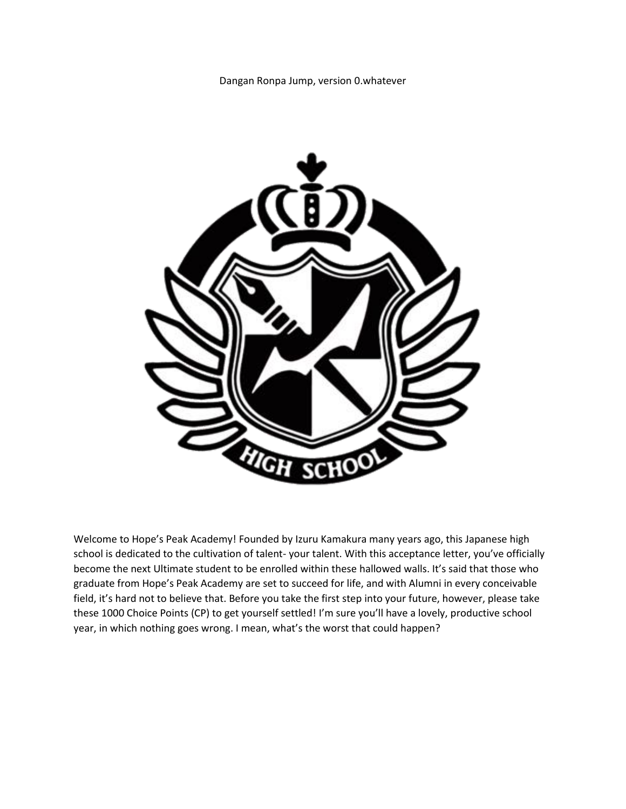Dangan Ronpa Jump, version 0.whatever



Welcome to Hope's Peak Academy! Founded by Izuru Kamakura many years ago, this Japanese high school is dedicated to the cultivation of talent- your talent. With this acceptance letter, you've officially become the next Ultimate student to be enrolled within these hallowed walls. It's said that those who graduate from Hope's Peak Academy are set to succeed for life, and with Alumni in every conceivable field, it's hard not to believe that. Before you take the first step into your future, however, please take these 1000 Choice Points (CP) to get yourself settled! I'm sure you'll have a lovely, productive school year, in which nothing goes wrong. I mean, what's the worst that could happen?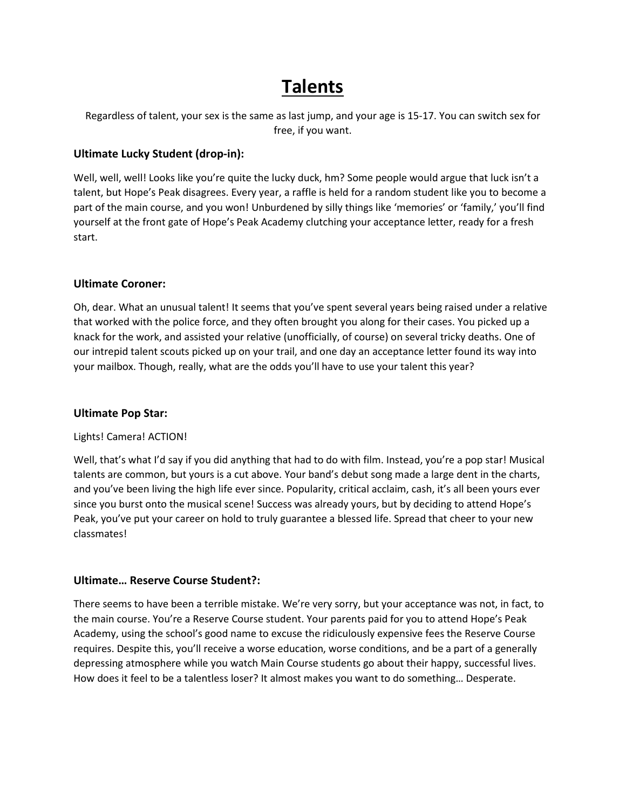## **Talents**

Regardless of talent, your sex is the same as last jump, and your age is 15-17. You can switch sex for free, if you want.

### **Ultimate Lucky Student (drop-in):**

Well, well, well! Looks like you're quite the lucky duck, hm? Some people would argue that luck isn't a talent, but Hope's Peak disagrees. Every year, a raffle is held for a random student like you to become a part of the main course, and you won! Unburdened by silly things like 'memories' or 'family,' you'll find yourself at the front gate of Hope's Peak Academy clutching your acceptance letter, ready for a fresh start.

### **Ultimate Coroner:**

Oh, dear. What an unusual talent! It seems that you've spent several years being raised under a relative that worked with the police force, and they often brought you along for their cases. You picked up a knack for the work, and assisted your relative (unofficially, of course) on several tricky deaths. One of our intrepid talent scouts picked up on your trail, and one day an acceptance letter found its way into your mailbox. Though, really, what are the odds you'll have to use your talent this year?

#### **Ultimate Pop Star:**

#### Lights! Camera! ACTION!

Well, that's what I'd say if you did anything that had to do with film. Instead, you're a pop star! Musical talents are common, but yours is a cut above. Your band's debut song made a large dent in the charts, and you've been living the high life ever since. Popularity, critical acclaim, cash, it's all been yours ever since you burst onto the musical scene! Success was already yours, but by deciding to attend Hope's Peak, you've put your career on hold to truly guarantee a blessed life. Spread that cheer to your new classmates!

#### **Ultimate… Reserve Course Student?:**

There seems to have been a terrible mistake. We're very sorry, but your acceptance was not, in fact, to the main course. You're a Reserve Course student. Your parents paid for you to attend Hope's Peak Academy, using the school's good name to excuse the ridiculously expensive fees the Reserve Course requires. Despite this, you'll receive a worse education, worse conditions, and be a part of a generally depressing atmosphere while you watch Main Course students go about their happy, successful lives. How does it feel to be a talentless loser? It almost makes you want to do something… Desperate.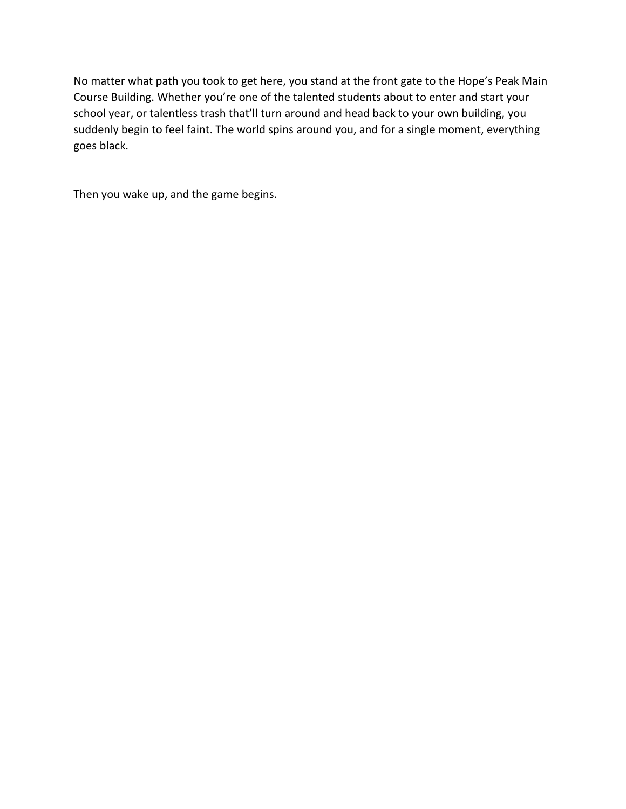No matter what path you took to get here, you stand at the front gate to the Hope's Peak Main Course Building. Whether you're one of the talented students about to enter and start your school year, or talentless trash that'll turn around and head back to your own building, you suddenly begin to feel faint. The world spins around you, and for a single moment, everything goes black.

Then you wake up, and the game begins.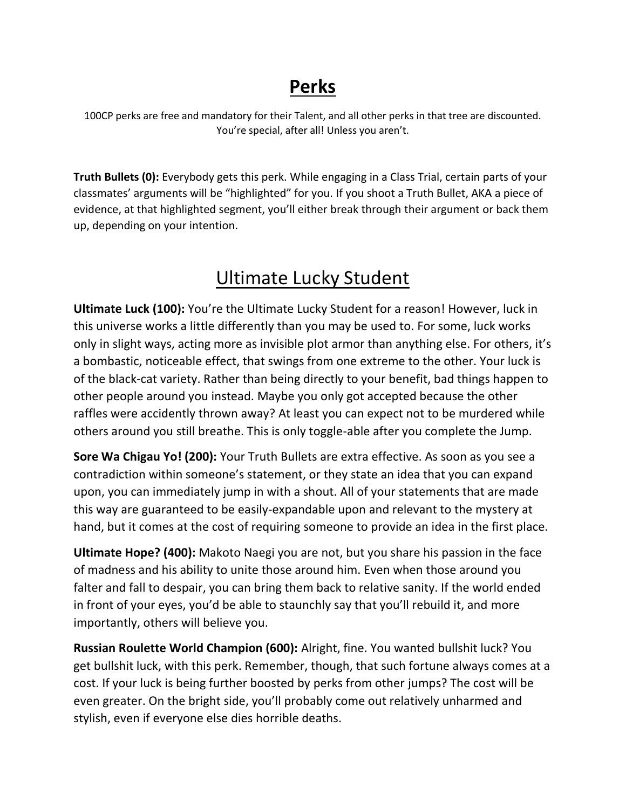## **Perks**

100CP perks are free and mandatory for their Talent, and all other perks in that tree are discounted. You're special, after all! Unless you aren't.

**Truth Bullets (0):** Everybody gets this perk. While engaging in a Class Trial, certain parts of your classmates' arguments will be "highlighted" for you. If you shoot a Truth Bullet, AKA a piece of evidence, at that highlighted segment, you'll either break through their argument or back them up, depending on your intention.

## Ultimate Lucky Student

**Ultimate Luck (100):** You're the Ultimate Lucky Student for a reason! However, luck in this universe works a little differently than you may be used to. For some, luck works only in slight ways, acting more as invisible plot armor than anything else. For others, it's a bombastic, noticeable effect, that swings from one extreme to the other. Your luck is of the black-cat variety. Rather than being directly to your benefit, bad things happen to other people around you instead. Maybe you only got accepted because the other raffles were accidently thrown away? At least you can expect not to be murdered while others around you still breathe. This is only toggle-able after you complete the Jump.

**Sore Wa Chigau Yo! (200):** Your Truth Bullets are extra effective. As soon as you see a contradiction within someone's statement, or they state an idea that you can expand upon, you can immediately jump in with a shout. All of your statements that are made this way are guaranteed to be easily-expandable upon and relevant to the mystery at hand, but it comes at the cost of requiring someone to provide an idea in the first place.

**Ultimate Hope? (400):** Makoto Naegi you are not, but you share his passion in the face of madness and his ability to unite those around him. Even when those around you falter and fall to despair, you can bring them back to relative sanity. If the world ended in front of your eyes, you'd be able to staunchly say that you'll rebuild it, and more importantly, others will believe you.

**Russian Roulette World Champion (600):** Alright, fine. You wanted bullshit luck? You get bullshit luck, with this perk. Remember, though, that such fortune always comes at a cost. If your luck is being further boosted by perks from other jumps? The cost will be even greater. On the bright side, you'll probably come out relatively unharmed and stylish, even if everyone else dies horrible deaths.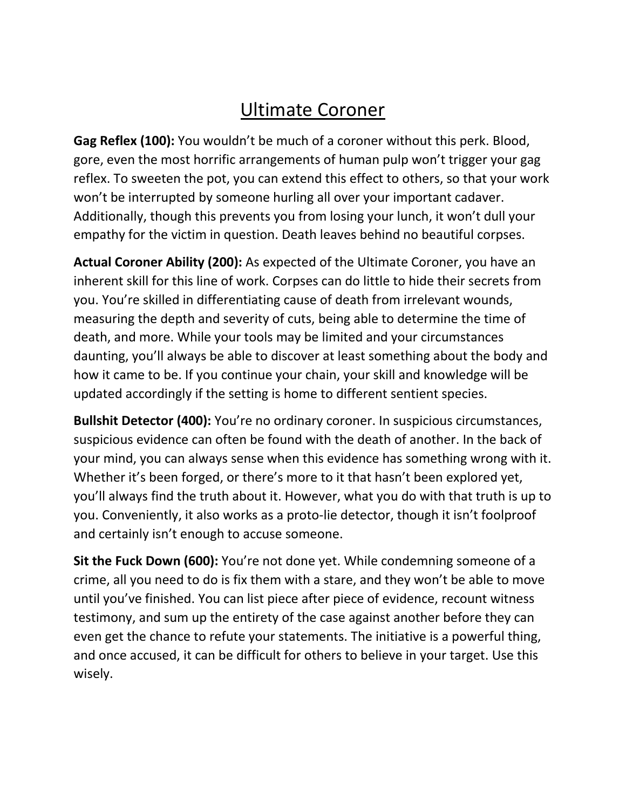# Ultimate Coroner

**Gag Reflex (100):** You wouldn't be much of a coroner without this perk. Blood, gore, even the most horrific arrangements of human pulp won't trigger your gag reflex. To sweeten the pot, you can extend this effect to others, so that your work won't be interrupted by someone hurling all over your important cadaver. Additionally, though this prevents you from losing your lunch, it won't dull your empathy for the victim in question. Death leaves behind no beautiful corpses.

**Actual Coroner Ability (200):** As expected of the Ultimate Coroner, you have an inherent skill for this line of work. Corpses can do little to hide their secrets from you. You're skilled in differentiating cause of death from irrelevant wounds, measuring the depth and severity of cuts, being able to determine the time of death, and more. While your tools may be limited and your circumstances daunting, you'll always be able to discover at least something about the body and how it came to be. If you continue your chain, your skill and knowledge will be updated accordingly if the setting is home to different sentient species.

**Bullshit Detector (400):** You're no ordinary coroner. In suspicious circumstances, suspicious evidence can often be found with the death of another. In the back of your mind, you can always sense when this evidence has something wrong with it. Whether it's been forged, or there's more to it that hasn't been explored yet, you'll always find the truth about it. However, what you do with that truth is up to you. Conveniently, it also works as a proto-lie detector, though it isn't foolproof and certainly isn't enough to accuse someone.

**Sit the Fuck Down (600):** You're not done yet. While condemning someone of a crime, all you need to do is fix them with a stare, and they won't be able to move until you've finished. You can list piece after piece of evidence, recount witness testimony, and sum up the entirety of the case against another before they can even get the chance to refute your statements. The initiative is a powerful thing, and once accused, it can be difficult for others to believe in your target. Use this wisely.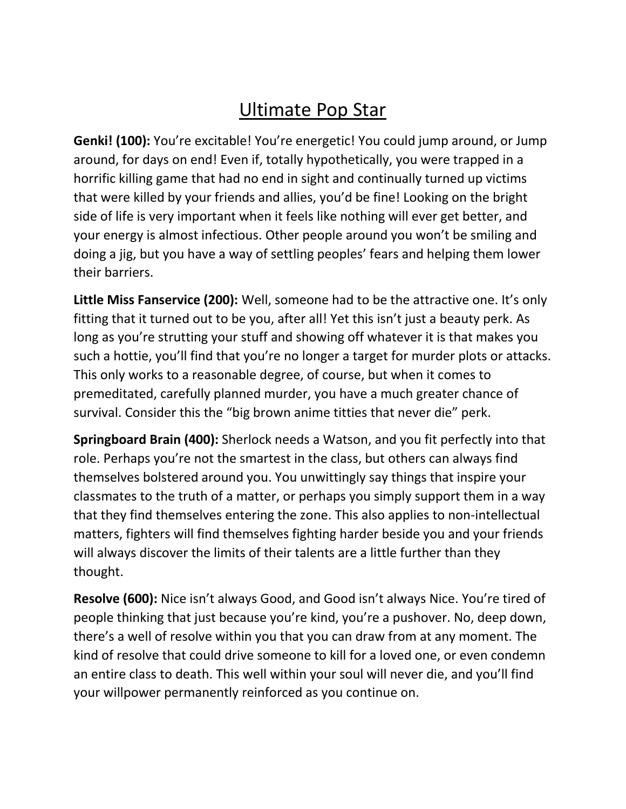# Ultimate Pop Star

**Genki! (100):** You're excitable! You're energetic! You could jump around, or Jump around, for days on end! Even if, totally hypothetically, you were trapped in a horrific killing game that had no end in sight and continually turned up victims that were killed by your friends and allies, you'd be fine! Looking on the bright side of life is very important when it feels like nothing will ever get better, and your energy is almost infectious. Other people around you won't be smiling and doing a jig, but you have a way of settling peoples' fears and helping them lower their barriers.

**Little Miss Fanservice (200):** Well, someone had to be the attractive one. It's only fitting that it turned out to be you, after all! Yet this isn't just a beauty perk. As long as you're strutting your stuff and showing off whatever it is that makes you such a hottie, you'll find that you're no longer a target for murder plots or attacks. This only works to a reasonable degree, of course, but when it comes to premeditated, carefully planned murder, you have a much greater chance of survival. Consider this the "big brown anime titties that never die" perk.

**Springboard Brain (400):** Sherlock needs a Watson, and you fit perfectly into that role. Perhaps you're not the smartest in the class, but others can always find themselves bolstered around you. You unwittingly say things that inspire your classmates to the truth of a matter, or perhaps you simply support them in a way that they find themselves entering the zone. This also applies to non-intellectual matters, fighters will find themselves fighting harder beside you and your friends will always discover the limits of their talents are a little further than they thought.

**Resolve (600):** Nice isn't always Good, and Good isn't always Nice. You're tired of people thinking that just because you're kind, you're a pushover. No, deep down, there's a well of resolve within you that you can draw from at any moment. The kind of resolve that could drive someone to kill for a loved one, or even condemn an entire class to death. This well within your soul will never die, and you'll find your willpower permanently reinforced as you continue on.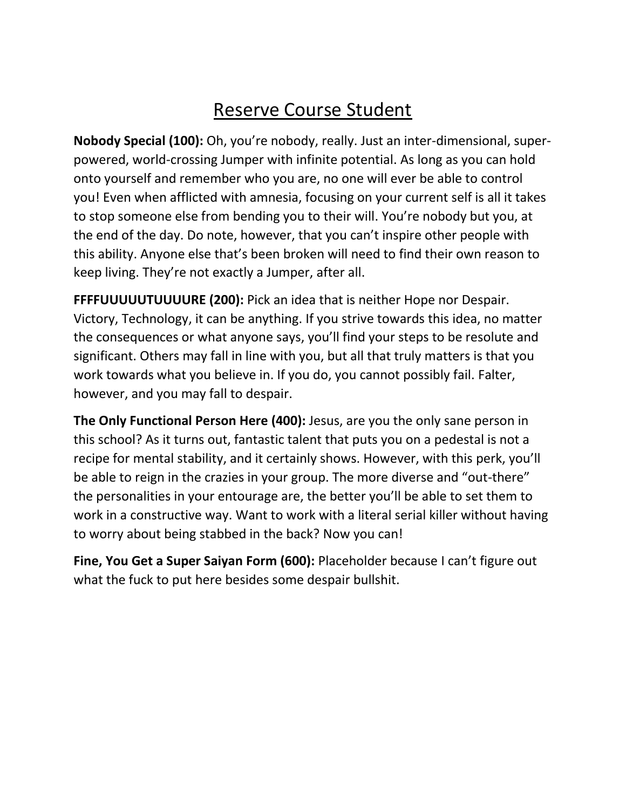# Reserve Course Student

**Nobody Special (100):** Oh, you're nobody, really. Just an inter-dimensional, superpowered, world-crossing Jumper with infinite potential. As long as you can hold onto yourself and remember who you are, no one will ever be able to control you! Even when afflicted with amnesia, focusing on your current self is all it takes to stop someone else from bending you to their will. You're nobody but you, at the end of the day. Do note, however, that you can't inspire other people with this ability. Anyone else that's been broken will need to find their own reason to keep living. They're not exactly a Jumper, after all.

**FFFFUUUUUTUUUURE (200):** Pick an idea that is neither Hope nor Despair. Victory, Technology, it can be anything. If you strive towards this idea, no matter the consequences or what anyone says, you'll find your steps to be resolute and significant. Others may fall in line with you, but all that truly matters is that you work towards what you believe in. If you do, you cannot possibly fail. Falter, however, and you may fall to despair.

**The Only Functional Person Here (400):** Jesus, are you the only sane person in this school? As it turns out, fantastic talent that puts you on a pedestal is not a recipe for mental stability, and it certainly shows. However, with this perk, you'll be able to reign in the crazies in your group. The more diverse and "out-there" the personalities in your entourage are, the better you'll be able to set them to work in a constructive way. Want to work with a literal serial killer without having to worry about being stabbed in the back? Now you can!

**Fine, You Get a Super Saiyan Form (600):** Placeholder because I can't figure out what the fuck to put here besides some despair bullshit.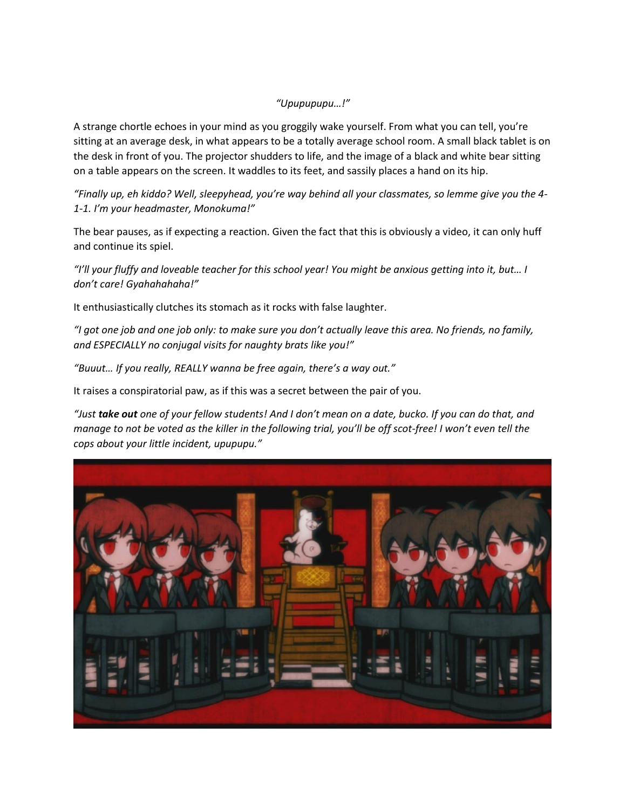#### *"Upupupupu…!"*

A strange chortle echoes in your mind as you groggily wake yourself. From what you can tell, you're sitting at an average desk, in what appears to be a totally average school room. A small black tablet is on the desk in front of you. The projector shudders to life, and the image of a black and white bear sitting on a table appears on the screen. It waddles to its feet, and sassily places a hand on its hip.

*"Finally up, eh kiddo? Well, sleepyhead, you're way behind all your classmates, so lemme give you the 4- 1-1. I'm your headmaster, Monokuma!"*

The bear pauses, as if expecting a reaction. Given the fact that this is obviously a video, it can only huff and continue its spiel.

*"I'll your fluffy and loveable teacher for this school year! You might be anxious getting into it, but… I don't care! Gyahahahaha!"*

It enthusiastically clutches its stomach as it rocks with false laughter.

*"I got one job and one job only: to make sure you don't actually leave this area. No friends, no family, and ESPECIALLY no conjugal visits for naughty brats like you!"*

*"Buuut… If you really, REALLY wanna be free again, there's a way out."*

It raises a conspiratorial paw, as if this was a secret between the pair of you.

*"Just take out one of your fellow students! And I don't mean on a date, bucko. If you can do that, and manage to not be voted as the killer in the following trial, you'll be off scot-free! I won't even tell the cops about your little incident, upupupu."*

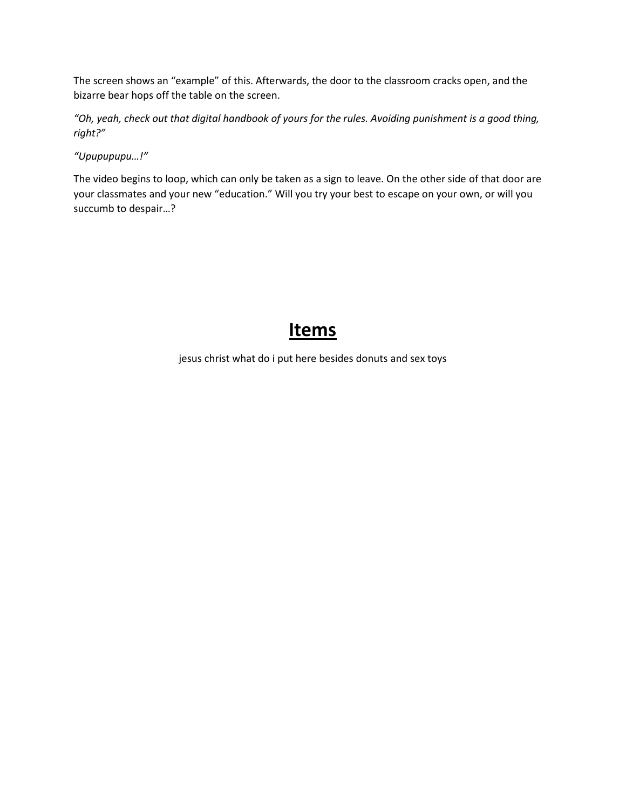The screen shows an "example" of this. Afterwards, the door to the classroom cracks open, and the bizarre bear hops off the table on the screen.

*"Oh, yeah, check out that digital handbook of yours for the rules. Avoiding punishment is a good thing, right?"*

*"Upupupupu…!"*

The video begins to loop, which can only be taken as a sign to leave. On the other side of that door are your classmates and your new "education." Will you try your best to escape on your own, or will you succumb to despair…?

### **Items**

jesus christ what do i put here besides donuts and sex toys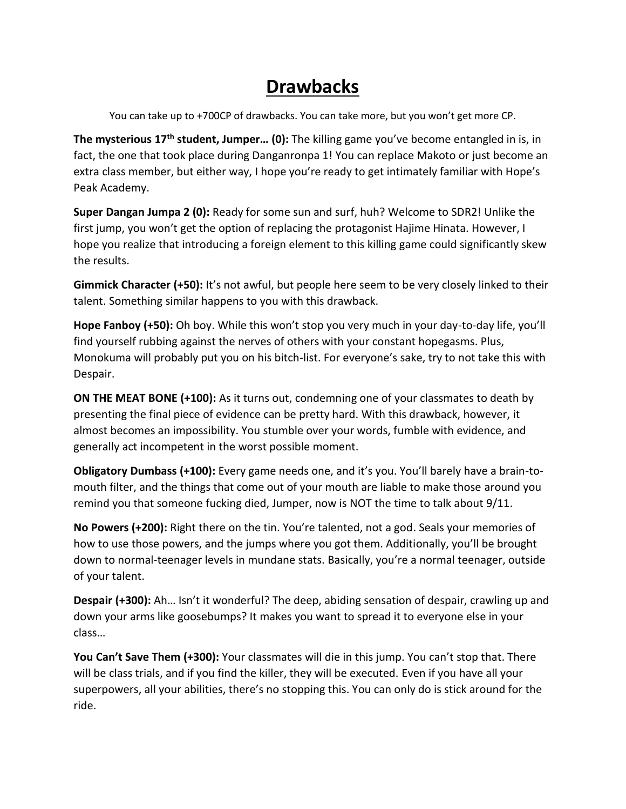## **Drawbacks**

You can take up to +700CP of drawbacks. You can take more, but you won't get more CP.

**The mysterious 17th student, Jumper… (0):** The killing game you've become entangled in is, in fact, the one that took place during Danganronpa 1! You can replace Makoto or just become an extra class member, but either way, I hope you're ready to get intimately familiar with Hope's Peak Academy.

**Super Dangan Jumpa 2 (0):** Ready for some sun and surf, huh? Welcome to SDR2! Unlike the first jump, you won't get the option of replacing the protagonist Hajime Hinata. However, I hope you realize that introducing a foreign element to this killing game could significantly skew the results.

**Gimmick Character (+50):** It's not awful, but people here seem to be very closely linked to their talent. Something similar happens to you with this drawback.

**Hope Fanboy (+50):** Oh boy. While this won't stop you very much in your day-to-day life, you'll find yourself rubbing against the nerves of others with your constant hopegasms. Plus, Monokuma will probably put you on his bitch-list. For everyone's sake, try to not take this with Despair.

**ON THE MEAT BONE (+100):** As it turns out, condemning one of your classmates to death by presenting the final piece of evidence can be pretty hard. With this drawback, however, it almost becomes an impossibility. You stumble over your words, fumble with evidence, and generally act incompetent in the worst possible moment.

**Obligatory Dumbass (+100):** Every game needs one, and it's you. You'll barely have a brain-tomouth filter, and the things that come out of your mouth are liable to make those around you remind you that someone fucking died, Jumper, now is NOT the time to talk about 9/11.

**No Powers (+200):** Right there on the tin. You're talented, not a god. Seals your memories of how to use those powers, and the jumps where you got them. Additionally, you'll be brought down to normal-teenager levels in mundane stats. Basically, you're a normal teenager, outside of your talent.

**Despair (+300):** Ah… Isn't it wonderful? The deep, abiding sensation of despair, crawling up and down your arms like goosebumps? It makes you want to spread it to everyone else in your class…

**You Can't Save Them (+300):** Your classmates will die in this jump. You can't stop that. There will be class trials, and if you find the killer, they will be executed. Even if you have all your superpowers, all your abilities, there's no stopping this. You can only do is stick around for the ride.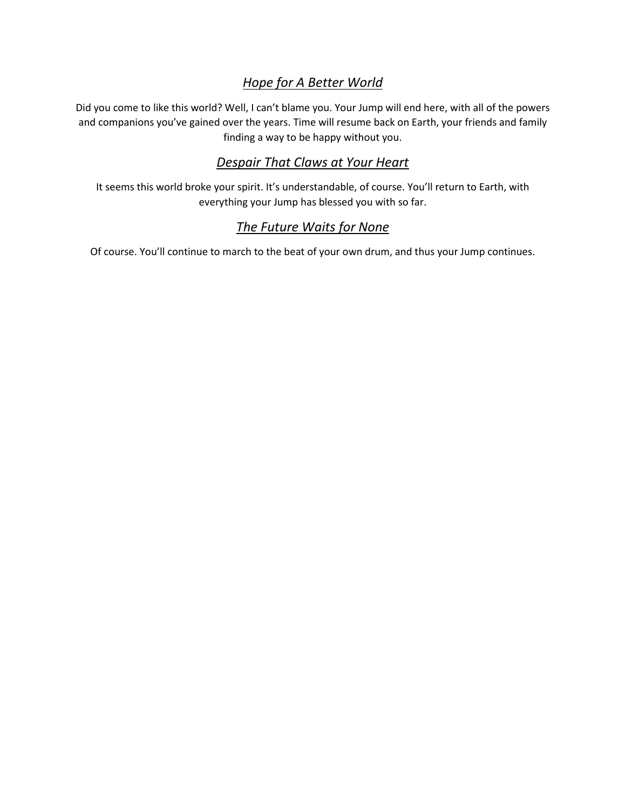### *Hope for A Better World*

Did you come to like this world? Well, I can't blame you. Your Jump will end here, with all of the powers and companions you've gained over the years. Time will resume back on Earth, your friends and family finding a way to be happy without you.

### *Despair That Claws at Your Heart*

It seems this world broke your spirit. It's understandable, of course. You'll return to Earth, with everything your Jump has blessed you with so far.

### *The Future Waits for None*

Of course. You'll continue to march to the beat of your own drum, and thus your Jump continues.